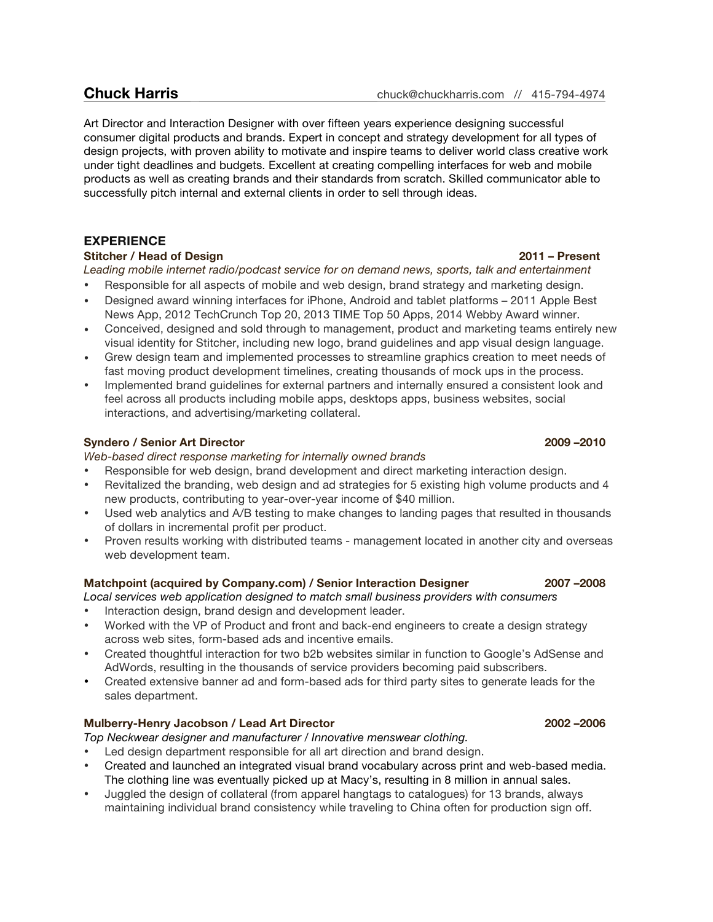Art Director and Interaction Designer with over fifteen years experience designing successful consumer digital products and brands. Expert in concept and strategy development for all types of design projects, with proven ability to motivate and inspire teams to deliver world class creative work under tight deadlines and budgets. Excellent at creating compelling interfaces for web and mobile products as well as creating brands and their standards from scratch. Skilled communicator able to successfully pitch internal and external clients in order to sell through ideas.

## **EXPERIENCE**

## **Stitcher / Head of Design 2011 – Present**

*Leading mobile internet radio/podcast service for on demand news, sports, talk and entertainment*

- Responsible for all aspects of mobile and web design, brand strategy and marketing design.
- Designed award winning interfaces for iPhone, Android and tablet platforms 2011 Apple Best News App, 2012 TechCrunch Top 20, 2013 TIME Top 50 Apps, 2014 Webby Award winner.
- Conceived, designed and sold through to management, product and marketing teams entirely new visual identity for Stitcher, including new logo, brand guidelines and app visual design language.
- Grew design team and implemented processes to streamline graphics creation to meet needs of fast moving product development timelines, creating thousands of mock ups in the process.
- Implemented brand guidelines for external partners and internally ensured a consistent look and feel across all products including mobile apps, desktops apps, business websites, social interactions, and advertising/marketing collateral.

## **Syndero / Senior Art Director 2009 –2010**

*Web-based direct response marketing for internally owned brands*

- Responsible for web design, brand development and direct marketing interaction design.
- Revitalized the branding, web design and ad strategies for 5 existing high volume products and 4 new products, contributing to year-over-year income of \$40 million.
- Used web analytics and A/B testing to make changes to landing pages that resulted in thousands of dollars in incremental profit per product.
- Proven results working with distributed teams management located in another city and overseas web development team.

## **Matchpoint (acquired by Company.com) / Senior Interaction Designer 2007 –2008**

*Local services web application designed to match small business providers with consumers*

- Interaction design, brand design and development leader.
- Worked with the VP of Product and front and back-end engineers to create a design strategy across web sites, form-based ads and incentive emails.
- Created thoughtful interaction for two b2b websites similar in function to Google's AdSense and AdWords, resulting in the thousands of service providers becoming paid subscribers.
- Created extensive banner ad and form-based ads for third party sites to generate leads for the sales department.

## **Mulberry-Henry Jacobson / Lead Art Director 2002 –2006**

*Top Neckwear designer and manufacturer / Innovative menswear clothing.*

- Led design department responsible for all art direction and brand design. • Created and launched an integrated visual brand vocabulary across print and web-based media.
- The clothing line was eventually picked up at Macy's, resulting in 8 million in annual sales. • Juggled the design of collateral (from apparel hangtags to catalogues) for 13 brands, always
- maintaining individual brand consistency while traveling to China often for production sign off.